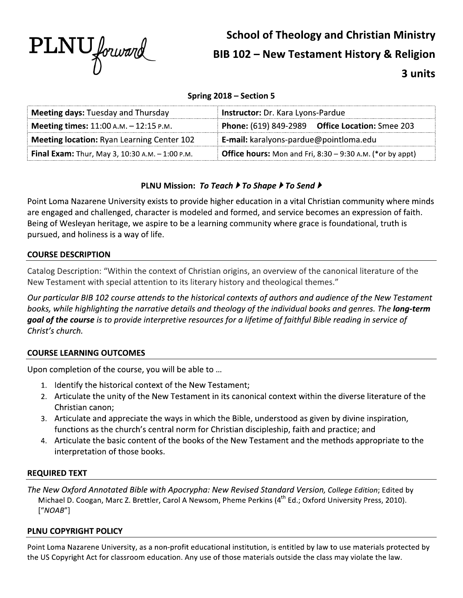

# **School of Theology and Christian Ministry** BIB 102 - New Testament History & Religion 3 units

## Spring 2018 - Section 5

| <b>Meeting days: Tuesday and Thursday</b>         | Instructor: Dr. Kara Lyons-Pardue                                  |  |
|---------------------------------------------------|--------------------------------------------------------------------|--|
| <b>Meeting times:</b> $11:00$ A.M. $-12:15$ P.M.  | <b>Phone:</b> (619) 849-2989 Office Location: Smee 203             |  |
| <b>Meeting location: Ryan Learning Center 102</b> | <b>E-mail:</b> karalyons-pardue@pointloma.edu                      |  |
| Final Exam: Thur, May 3, 10:30 A.M. - 1:00 P.M.   | <b>Office hours:</b> Mon and Fri, $8:30 - 9:30$ A.M. (*or by appt) |  |

## PLNU Mission: To Teach ▶ To Shape ▶ To Send ▶

Point Loma Nazarene University exists to provide higher education in a vital Christian community where minds are engaged and challenged, character is modeled and formed, and service becomes an expression of faith. Being of Wesleyan heritage, we aspire to be a learning community where grace is foundational, truth is pursued, and holiness is a way of life.

## **COURSE DESCRIPTION**

Catalog Description: "Within the context of Christian origins, an overview of the canonical literature of the New Testament with special attention to its literary history and theological themes."

Our particular BIB 102 course attends to the historical contexts of authors and audience of the New Testament books, while highlighting the narrative details and theology of the individual books and genres. The **long-term** goal of the course is to provide interpretive resources for a lifetime of faithful Bible reading in service of Christ's church.

## **COURSE LEARNING OUTCOMES**

Upon completion of the course, you will be able to ...

- 1. Identify the historical context of the New Testament;
- 2. Articulate the unity of the New Testament in its canonical context within the diverse literature of the Christian canon;
- 3. Articulate and appreciate the ways in which the Bible, understood as given by divine inspiration, functions as the church's central norm for Christian discipleship, faith and practice; and
- 4. Articulate the basic content of the books of the New Testament and the methods appropriate to the interpretation of those books.

## **REQUIRED TEXT**

The New Oxford Annotated Bible with Apocrypha: New Revised Standard Version, College Edition; Edited by Michael D. Coogan, Marc Z. Brettler, Carol A Newsom, Pheme Perkins (4<sup>th</sup> Ed.; Oxford University Press, 2010).  $["NOAB"]$ 

## PLNU COPYRIGHT POLICY

Point Loma Nazarene University, as a non-profit educational institution, is entitled by law to use materials protected by the US Copyright Act for classroom education. Any use of those materials outside the class may violate the law.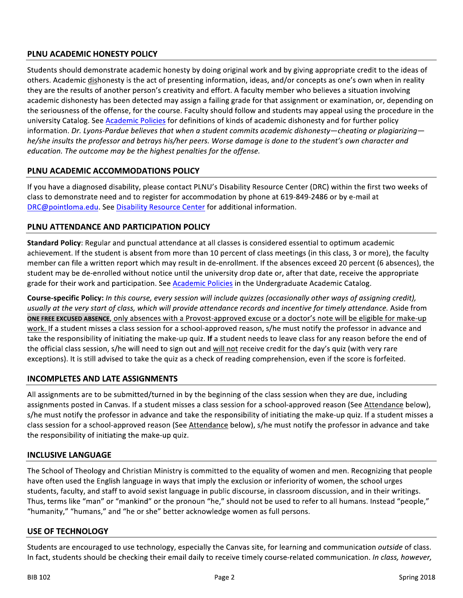## PLNU ACADEMIC HONESTY POLICY

Students should demonstrate academic honesty by doing original work and by giving appropriate credit to the ideas of others. Academic dishonesty is the act of presenting information, ideas, and/or concepts as one's own when in reality they are the results of another person's creativity and effort. A faculty member who believes a situation involving academic dishonesty has been detected may assign a failing grade for that assignment or examination, or, depending on the seriousness of the offense, for the course. Faculty should follow and students may appeal using the procedure in the university Catalog. See Academic Policies for definitions of kinds of academic dishonesty and for further policy information. Dr. Lyons-Pardue believes that when a student commits academic dishonesty—cheating or plagiarizing he/she insults the professor and betrays his/her peers. Worse damage is done to the student's own character and education. The outcome may be the highest penalties for the offense.

## PLNU ACADEMIC ACCOMMODATIONS POLICY

If you have a diagnosed disability, please contact PLNU's Disability Resource Center (DRC) within the first two weeks of class to demonstrate need and to register for accommodation by phone at 619-849-2486 or by e-mail at DRC@pointloma.edu. See Disability Resource Center for additional information.

## PLNU ATTENDANCE AND PARTICIPATION POLICY

Standard Policy: Regular and punctual attendance at all classes is considered essential to optimum academic achievement. If the student is absent from more than 10 percent of class meetings (in this class, 3 or more), the faculty member can file a written report which may result in de-enrollment. If the absences exceed 20 percent (6 absences), the student may be de-enrolled without notice until the university drop date or, after that date, receive the appropriate grade for their work and participation. See Academic Policies in the Undergraduate Academic Catalog.

Course-specific Policy: In this course, every session will include quizzes (occasionally other ways of assigning credit), usually at the very start of class, which will provide attendance records and incentive for timely attendance. Aside from ONE FREE EXCUSED ABSENCE, only absences with a Provost-approved excuse or a doctor's note will be eligible for make-up work. If a student misses a class session for a school-approved reason, s/he must notify the professor in advance and take the responsibility of initiating the make-up quiz. If a student needs to leave class for any reason before the end of the official class session, s/he will need to sign out and will not receive credit for the day's quiz (with very rare exceptions). It is still advised to take the quiz as a check of reading comprehension, even if the score is forfeited.

## **INCOMPLETES AND LATE ASSIGNMENTS**

All assignments are to be submitted/turned in by the beginning of the class session when they are due, including assignments posted in Canvas. If a student misses a class session for a school-approved reason (See Attendance below), s/he must notify the professor in advance and take the responsibility of initiating the make-up quiz. If a student misses a class session for a school-approved reason (See Attendance below), s/he must notify the professor in advance and take the responsibility of initiating the make-up quiz.

## **INCLUSIVE LANGUAGE**

The School of Theology and Christian Ministry is committed to the equality of women and men. Recognizing that people have often used the English language in ways that imply the exclusion or inferiority of women, the school urges students, faculty, and staff to avoid sexist language in public discourse, in classroom discussion, and in their writings. Thus, terms like "man" or "mankind" or the pronoun "he," should not be used to refer to all humans. Instead "people," "humanity," "humans," and "he or she" better acknowledge women as full persons.

#### **USE OF TECHNOLOGY**

Students are encouraged to use technology, especially the Canvas site, for learning and communication outside of class. In fact, students should be checking their email daily to receive timely course-related communication. In class, however,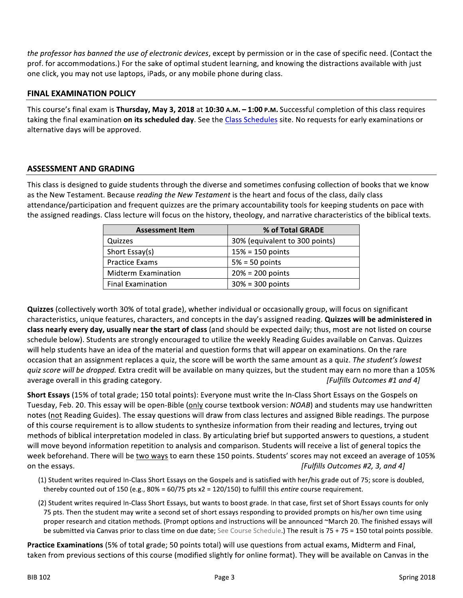the professor has banned the use of electronic devices, except by permission or in the case of specific need. (Contact the prof. for accommodations.) For the sake of optimal student learning, and knowing the distractions available with just one click, you may not use laptops, iPads, or any mobile phone during class.

## **FINAL EXAMINATION POLICY**

This course's final exam is Thursday, May 3, 2018 at 10:30 A.M. -1:00 P.M. Successful completion of this class requires taking the final examination on its scheduled day. See the Class Schedules site. No requests for early examinations or alternative days will be approved.

## **ASSESSMENT AND GRADING**

This class is designed to guide students through the diverse and sometimes confusing collection of books that we know as the New Testament. Because reading the New Testament is the heart and focus of the class, daily class attendance/participation and frequent quizzes are the primary accountability tools for keeping students on pace with the assigned readings. Class lecture will focus on the history, theology, and narrative characteristics of the biblical texts.

| <b>Assessment Item</b>     | % of Total GRADE               |
|----------------------------|--------------------------------|
| Quizzes                    | 30% (equivalent to 300 points) |
| Short Essay(s)             | $15% = 150$ points             |
| <b>Practice Exams</b>      | $5% = 50$ points               |
| <b>Midterm Examination</b> | $20% = 200$ points             |
| <b>Final Examination</b>   | $30\% = 300$ points            |

Quizzes (collectively worth 30% of total grade), whether individual or occasionally group, will focus on significant characteristics, unique features, characters, and concepts in the day's assigned reading. Quizzes will be administered in class nearly every day, usually near the start of class (and should be expected daily; thus, most are not listed on course schedule below). Students are strongly encouraged to utilize the weekly Reading Guides available on Canvas. Quizzes will help students have an idea of the material and question forms that will appear on examinations. On the rare occasion that an assignment replaces a quiz, the score will be worth the same amount as a quiz. The student's lowest quiz score will be dropped. Extra credit will be available on many quizzes, but the student may earn no more than a 105% average overall in this grading category. [Fulfills Outcomes #1 and 4]

Short Essays (15% of total grade; 150 total points): Everyone must write the In-Class Short Essays on the Gospels on Tuesday, Feb. 20. This essay will be open-Bible (only course textbook version: NOAB) and students may use handwritten notes (not Reading Guides). The essay questions will draw from class lectures and assigned Bible readings. The purpose of this course requirement is to allow students to synthesize information from their reading and lectures, trying out methods of biblical interpretation modeled in class. By articulating brief but supported answers to questions, a student will move beyond information repetition to analysis and comparison. Students will receive a list of general topics the week beforehand. There will be two ways to earn these 150 points. Students' scores may not exceed an average of 105% on the essays. [Fulfills Outcomes #2, 3, and 4]

- (1) Student writes required In-Class Short Essays on the Gospels and is satisfied with her/his grade out of 75; score is doubled, thereby counted out of 150 (e.g.,  $80\% = 60/75$  pts x2 = 120/150) to fulfill this entire course requirement.
- (2) Student writes required In-Class Short Essays, but wants to boost grade. In that case, first set of Short Essays counts for only 75 pts. Then the student may write a second set of short essays responding to provided prompts on his/her own time using proper research and citation methods. (Prompt options and instructions will be announced ~March 20. The finished essays will be submitted via Canvas prior to class time on due date; See Course Schedule.) The result is 75 + 75 = 150 total points possible.

Practice Examinations (5% of total grade; 50 points total) will use questions from actual exams, Midterm and Final, taken from previous sections of this course (modified slightly for online format). They will be available on Canvas in the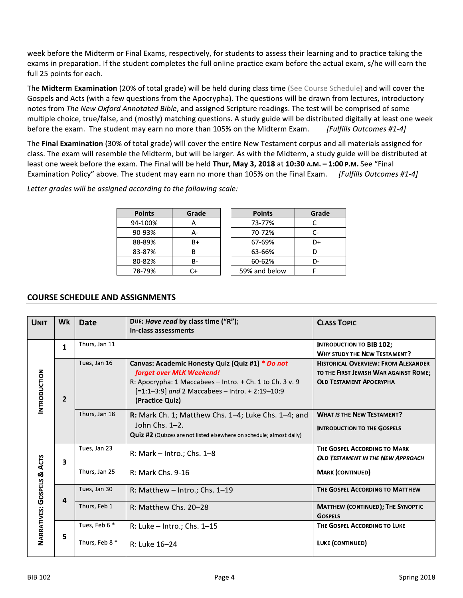week before the Midterm or Final Exams, respectively, for students to assess their learning and to practice taking the exams in preparation. If the student completes the full online practice exam before the actual exam, s/he will earn the full 25 points for each.

The Midterm Examination (20% of total grade) will be held during class time (See Course Schedule) and will cover the Gospels and Acts (with a few questions from the Apocrypha). The questions will be drawn from lectures, introductory notes from The New Oxford Annotated Bible, and assigned Scripture readings. The test will be comprised of some multiple choice, true/false, and (mostly) matching questions. A study guide will be distributed digitally at least one week before the exam. The student may earn no more than 105% on the Midterm Exam. [Fulfills Outcomes #1-4]

The Final Examination (30% of total grade) will cover the entire New Testament corpus and all materials assigned for class. The exam will resemble the Midterm, but will be larger. As with the Midterm, a study guide will be distributed at least one week before the exam. The Final will be held Thur, May 3, 2018 at 10:30 A.M. - 1:00 P.M. See "Final Examination Policy" above. The student may earn no more than 105% on the Final Exam. [Fulfills Outcomes #1-4]

Letter grades will be assigned according to the following scale:

| <b>Points</b> | Grade | <b>Points</b> | Grade |
|---------------|-------|---------------|-------|
| 94-100%       |       | 73-77%        |       |
| 90-93%        |       | 70-72%        | C-    |
| 88-89%        | B+    | 67-69%        | D+    |
| 83-87%        | R     | 63-66%        |       |
| 80-82%        | в-    | 60-62%        | D-    |
| 78-79%        |       | 59% and below |       |

## **COURSE SCHEDULE AND ASSIGNMENTS**

| <b>UNIT</b>                                     | Wk                      | <b>Date</b>    | DUE: Have read by class time ("R");<br>In-class assessments                                                                                                                                                    | <b>CLASS TOPIC</b>                                                                                                    |
|-------------------------------------------------|-------------------------|----------------|----------------------------------------------------------------------------------------------------------------------------------------------------------------------------------------------------------------|-----------------------------------------------------------------------------------------------------------------------|
|                                                 | $\mathbf{1}$            | Thurs, Jan 11  |                                                                                                                                                                                                                | <b>INTRODUCTION TO BIB 102;</b><br><b>WHY STUDY THE NEW TESTAMENT?</b>                                                |
| <b>INTRODUCTION</b>                             | $\overline{2}$          | Tues, Jan 16   | Canvas: Academic Honesty Quiz (Quiz #1) * Do not<br>forget over MLK Weekend!<br>R: Apocrypha: 1 Maccabees - Intro. + Ch. 1 to Ch. 3 v. 9<br>[=1:1-3:9] and 2 Maccabees - Intro. + 2:19-10:9<br>(Practice Quiz) | <b>HISTORICAL OVERVIEW: FROM ALEXANDER</b><br>TO THE FIRST JEWISH WAR AGAINST ROME;<br><b>OLD TESTAMENT APOCRYPHA</b> |
|                                                 |                         | Thurs, Jan 18  | <b>R:</b> Mark Ch. 1; Matthew Chs. $1-4$ ; Luke Chs. $1-4$ ; and<br>John Chs. $1-2$ .<br><b>Quiz #2</b> (Quizzes are not listed elsewhere on schedule; almost daily)                                           | <b>WHAT IS THE NEW TESTAMENT?</b><br><b>INTRODUCTION TO THE GOSPELS</b>                                               |
| <b>ACTS</b><br><b>NARRATIVES: GOSPELS &amp;</b> | $\overline{\mathbf{3}}$ | Tues, Jan 23   | R: Mark $-$ Intro.; Chs. 1–8                                                                                                                                                                                   | THE GOSPEL ACCORDING TO MARK<br><b>OLD TESTAMENT IN THE NEW APPROACH</b>                                              |
|                                                 |                         | Thurs, Jan 25  | R: Mark Chs. 9-16                                                                                                                                                                                              | <b>MARK (CONTINUED)</b>                                                                                               |
|                                                 | 4                       | Tues, Jan 30   | R: Matthew $-$ Intro.; Chs. 1-19                                                                                                                                                                               | THE GOSPEL ACCORDING TO MATTHEW                                                                                       |
|                                                 |                         | Thurs, Feb 1   | $R:$ Matthew Chs. 20-28                                                                                                                                                                                        | <b>MATTHEW (CONTINUED); THE SYNOPTIC</b><br><b>GOSPELS</b>                                                            |
|                                                 | 5                       | Tues, Feb 6 *  | R: Luke $-$ Intro.; Chs. 1-15                                                                                                                                                                                  | THE GOSPEL ACCORDING TO LUKE                                                                                          |
|                                                 |                         | Thurs, Feb 8 * | R: Luke 16-24                                                                                                                                                                                                  | LUKE (CONTINUED)                                                                                                      |